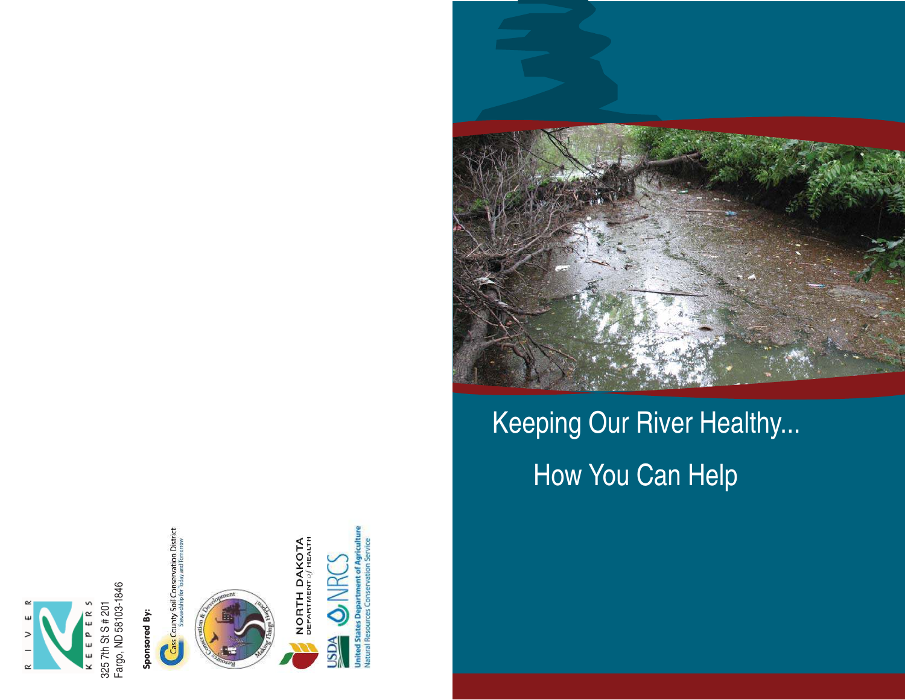

Sponsored By: Sponsored By:



**Cass County Soil Conservation District**<br>**Cass County Soil Conservation District** 









# Keeping Our River Healthy... How You Can Help